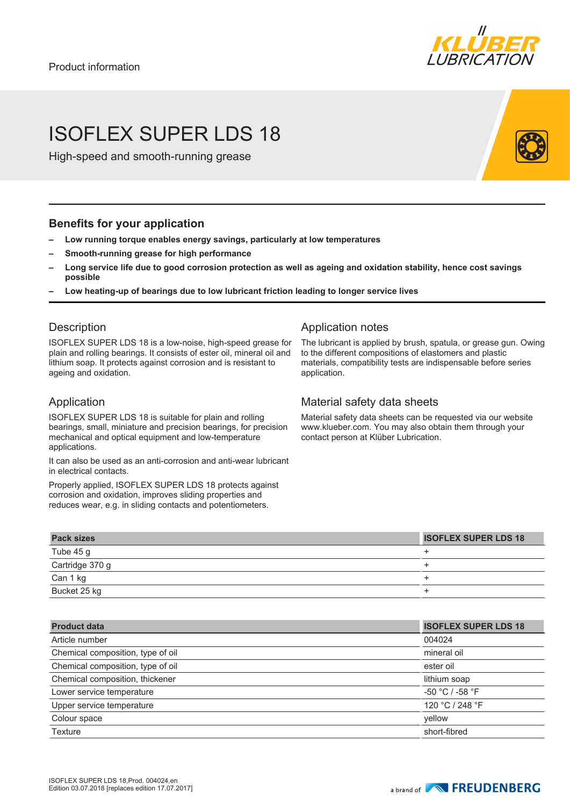

# ISOFLEX SUPER LDS 18

High-speed and smooth-running grease

### **Benefits for your application**

- **– Low running torque enables energy savings, particularly at low temperatures**
- **– Smooth-running grease for high performance**
- **– Long service life due to good corrosion protection as well as ageing and oxidation stability, hence cost savings possible**
- **– Low heating-up of bearings due to low lubricant friction leading to longer service lives**

### **Description**

ISOFLEX SUPER LDS 18 is a low-noise, high-speed grease for plain and rolling bearings. It consists of ester oil, mineral oil and lithium soap. It protects against corrosion and is resistant to ageing and oxidation.

### Application

ISOFLEX SUPER LDS 18 is suitable for plain and rolling bearings, small, miniature and precision bearings, for precision mechanical and optical equipment and low-temperature applications.

It can also be used as an anti-corrosion and anti-wear lubricant in electrical contacts.

Properly applied, ISOFLEX SUPER LDS 18 protects against corrosion and oxidation, improves sliding properties and reduces wear, e.g. in sliding contacts and potentiometers.

## Application notes

The lubricant is applied by brush, spatula, or grease gun. Owing to the different compositions of elastomers and plastic materials, compatibility tests are indispensable before series application.

# Material safety data sheets

Material safety data sheets can be requested via our website www.klueber.com. You may also obtain them through your contact person at Klüber Lubrication.

| <b>Pack sizes</b> | <b>ISOFLEX SUPER LDS 18</b> |
|-------------------|-----------------------------|
| Tube 45 g         |                             |
| Cartridge 370 g   |                             |
| Can 1 kg          |                             |
| Bucket 25 kg      |                             |

| <b>Product data</b>               | <b>ISOFLEX SUPER LDS 18</b> |
|-----------------------------------|-----------------------------|
| Article number                    | 004024                      |
| Chemical composition, type of oil | mineral oil                 |
| Chemical composition, type of oil | ester oil                   |
| Chemical composition, thickener   | lithium soap                |
| Lower service temperature         | $-50 °C / -58 °F$           |
| Upper service temperature         | 120 °C / 248 °F             |
| Colour space                      | vellow                      |
| Texture                           | short-fibred                |